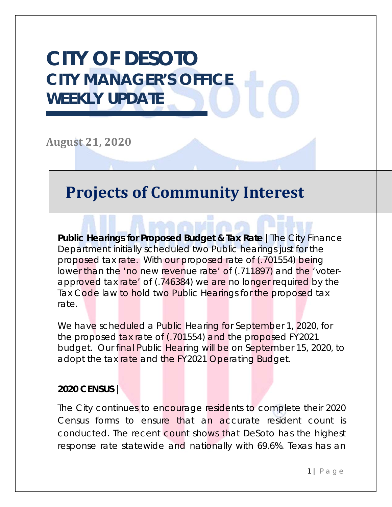# **CITY OF DESOTO CITY MANAGER'S OFFICE WEEKLY UPDATE**

**August 21, 2020**

## **Projects of Community Interest**

**Public Hearings for Proposed Budget & Tax Rate |**The City Finance Department initially scheduled two Public hearings just for the proposed tax rate. With our proposed rate of (.701554) being lower than the 'no new revenue rate' of (.711897) and the 'voterapproved tax rate' of (.746384) we are no longer required by the Tax Code law to hold two Public Hearings for the proposed tax rate.

We have scheduled a Public Hearing for September 1, 2020, for the proposed tax rate of (.701554) and the proposed FY2021 budget. Our final Public Hearing will be on September 15, 2020, to adopt the tax rate and the FY2021 Operating Budget.

#### **2020 CENSUS** |

The City continues to encourage residents to complete their 2020 Census forms to ensure that an accurate resident count is conducted. The recent count shows that DeSoto has the highest response rate statewide and nationally with 69.6%. Texas has an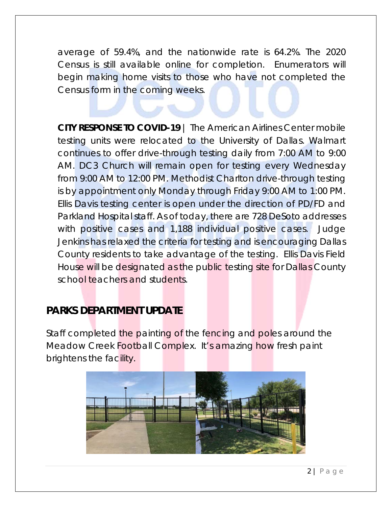average of 59.4%, and the nationwide rate is 64.2%. The 2020 Census is still available online for completion. Enumerators will begin making home visits to those who have not completed the Census form in the coming weeks.

**CITY RESPONSE TO COVID-19** | The American Airlines Center mobile testing units were relocated to the University of Dallas. Walmart continues to offer drive-through testing daily from 7:00 AM to 9:00 AM. DC3 Church will remain open for testing every Wednesday from 9:00 AM to 12:00 PM. Methodist Charlton drive-through testing is by appointment only Monday through Friday 9:00 AM to 1:00 PM. Ellis Davis testing center is open under the direction of PD/FD and Parkland Hospital staff. As of today, there are 728 DeSoto addresses with positive cases and 1,188 individual positive cases. Judge Jenkins has relaxed the criteria for testing and is encouraging Dallas County residents to take advantage of the testing. Ellis Davis Field House will be designated as the public testing site for Dallas County school teachers and students.

### **PARKS DEPARTMENT UPDATE**

Staff completed the painting of the fencing and poles around the Meadow Creek Football Complex. It's amazing how fresh paint brightens the facility.

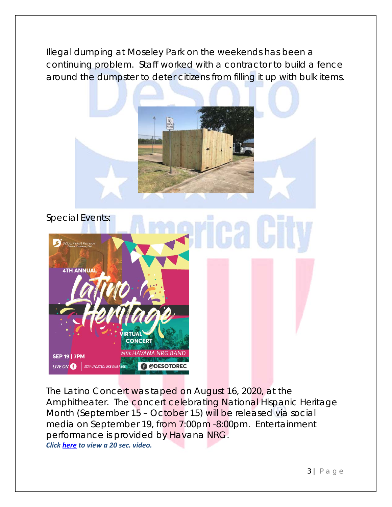Illegal dumping at Moseley Park on the weekends has been a continuing problem. Staff worked with a contractor to build a fence around the dumpster to deter citizens from filling it up with bulk items.





The Latino Concert was taped on August 16, 2020, at the Amphitheater. The concert celebrating National Hispanic Heritage Month (September 15 – October 15) will be released via social media on September 19, from 7:00pm -8:00pm. Entertainment performance is provided by Havana NRG. *Click here to view a 20 sec. video.*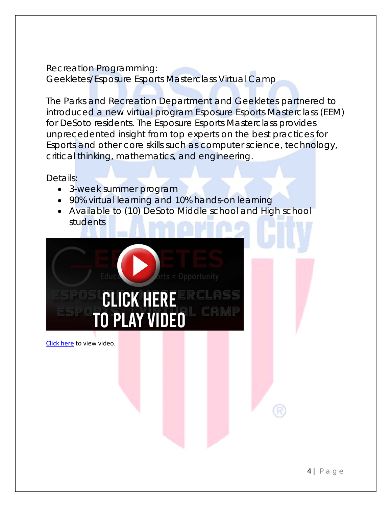#### Recreation Programming: Geekletes/Esposure Esports Masterclass Virtual Camp

The Parks and Recreation Department and Geekletes partnered to introduced a new virtual program Esposure Esports Masterclass (EEM) for DeSoto residents. The Esposure Esports Masterclass provides unprecedented insight from top experts on the best practices for Esports and other core skills such as computer science, technology, critical thinking, mathematics, and engineering.

Details:

- 3-week summer program
- 90% virtual learning and 10% hands-on learning
- Available to (10) DeSoto Middle school and High school students



Click here to view video.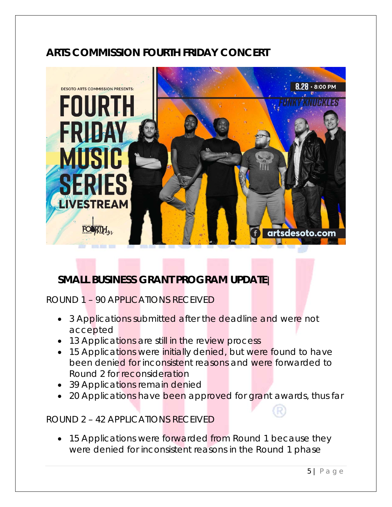### **ARTS COMMISSION FOURTH FRIDAY CONCERT**



### **SMALL BUSINESS GRANT PROGRAM UPDATE|**

### ROUND 1 – 90 APPLICATIONS RECEIVED

- 3 Applications submitted after the deadline and were not accepted
- 13 Applications are still in the review process
- 15 Applications were initially denied, but were found to have been denied for inconsistent reasons and were forwarded to Round 2 for reconsideration
- 39 Applications remain denied
- 20 Applications have been approved for grant awards, thus far

#### ROUND 2 – 42 APPLICATIONS RECEIVED

• 15 Applications were forwarded from Round 1 because they were denied for inconsistent reasons in the Round 1 phase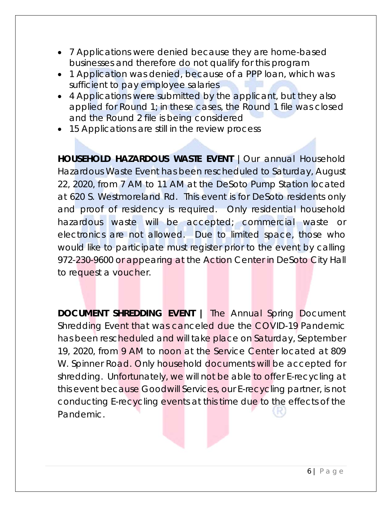- 7 Applications were denied because they are home-based businesses and therefore do not qualify for this program
- 1 Application was denied, because of a PPP loan, which was sufficient to pay employee salaries
- 4 Applications were submitted by the applicant, but they also applied for Round 1; in these cases, the Round 1 file was closed and the Round 2 file is being considered
- 15 Applications are still in the review process

HOUSEHOLD HAZARDOUS WASTE EVENT | Our annual Household Hazardous Waste Event has been rescheduled to Saturday, August 22, 2020, from 7 AM to 11 AM at the DeSoto Pump Station located at 620 S. Westmoreland Rd. This event is for DeSoto residents only and proof of residency is required. Only residential household hazardous waste will be accepted; commercial waste or electronics are not allowed. Due to limited space, those who would like to participate must register prior to the event by calling 972-230-9600 or appearing at the Action Center in DeSoto City Hall to request a voucher.

**DOCUMENT SHREDDING EVENT |** The Annual Spring Document Shredding Event that was canceled due the COVID-19 Pandemic has been rescheduled and will take place on Saturday, September 19, 2020, from 9 AM to noon at the Service Center located at 809 W. Spinner Road. Only household documents will be accepted for shredding. Unfortunately, we will not be able to offer E-recycling at this event because Goodwill Services, our E-recycling partner, is not conducting E-recycling events at this time due to the effects of the Pandemic.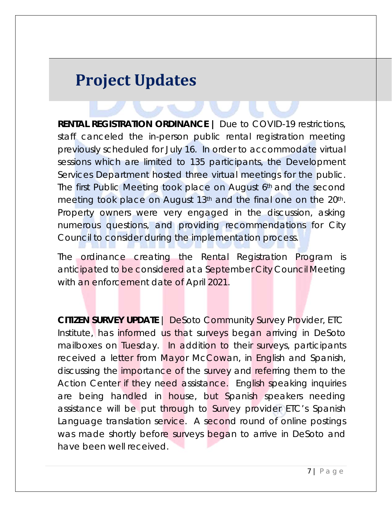## **Project Updates**

**RENTAL REGISTRATION ORDINANCE |** Due to COVID-19 restrictions, staff canceled the in-person public rental registration meeting previously scheduled for July 16. In order to accommodate virtual sessions which are limited to 135 participants, the Development Services Department hosted three virtual meetings for the public. The first Public Meeting took place on August 6th and the second meeting took place on August 13<sup>th</sup> and the final one on the 20<sup>th</sup>. Property owners were very engaged in the discussion, asking numerous questions, and providing recommendations for City Council to consider during the implementation process.

The ordinance creating the Rental Registration Program is anticipated to be considered at a September City Council Meeting with an enforcement date of April 2021.

**CITIZEN SURVEY UPDATE** | DeSoto Community Survey Provider, ETC Institute, has informed us that surveys began arriving in DeSoto mailboxes on Tuesday. In addition to their surveys, participants received a letter from Mayor McCowan, in English and Spanish, discussing the importance of the survey and referring them to the Action Center if they need assistance. English speaking inquiries are being handled in house, but Spanish speakers needing assistance will be put through to Survey provider ETC's Spanish Language translation service. A second round of online postings was made shortly before surveys began to arrive in DeSoto and have been well received.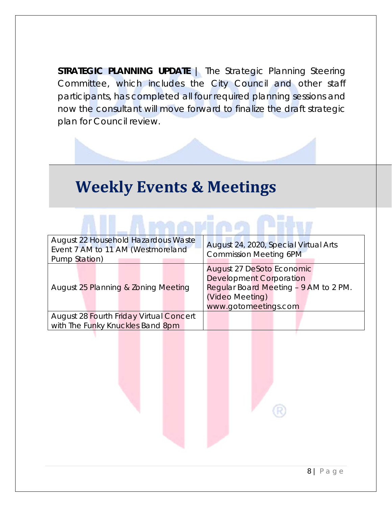**STRATEGIC PLANNING UPDATE** | The Strategic Planning Steering Committee, which includes the City Council and other staff participants, has completed all four required planning sessions and now the consultant will move forward to finalize the draft strategic plan for Council review.

## **Weekly Events & Meetings**

| August 22 Household Hazardous Waste<br>Event 7 AM to 11 AM (Westmoreland<br>Pump Station) | August 24, 2020, Special Virtual Arts<br><b>Commission Meeting 6PM</b>                                                                          |  |  |  |
|-------------------------------------------------------------------------------------------|-------------------------------------------------------------------------------------------------------------------------------------------------|--|--|--|
| August 25 Planning & Zoning Meeting                                                       | August 27 DeSoto Economic<br><b>Development Corporation</b><br>Regular Board Meeting - 9 AM to 2 PM.<br>(Video Meeting)<br>www.gotomeetings.com |  |  |  |
| <b>August 28 Fourth Friday Virtual Concert</b><br>with The Funky Knuckles Band 8pm        |                                                                                                                                                 |  |  |  |